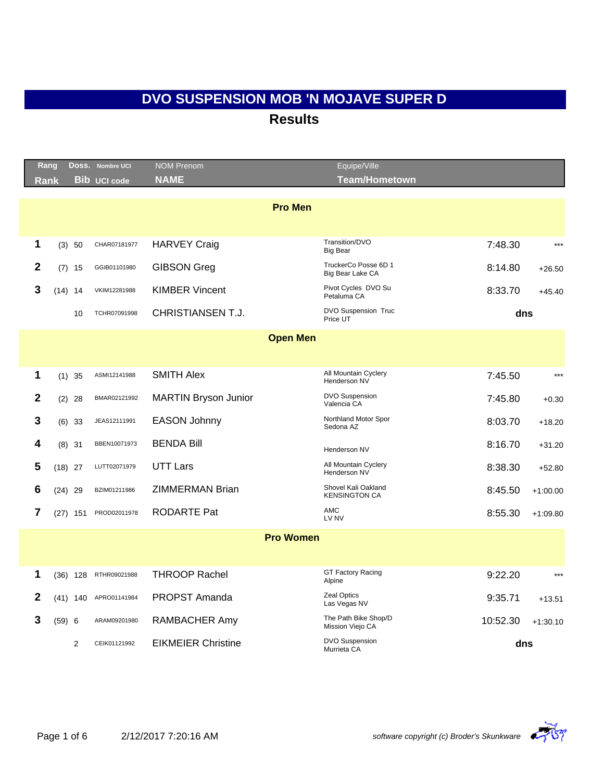|              | Rang        | Doss.          | <b>Nombre UCI</b>   | <b>NOM Prenom</b>           | Equipe/Ville                                |          |            |
|--------------|-------------|----------------|---------------------|-----------------------------|---------------------------------------------|----------|------------|
|              | <b>Rank</b> |                | <b>Bib UCI code</b> | <b>NAME</b>                 | <b>Team/Hometown</b>                        |          |            |
|              |             |                |                     | <b>Pro Men</b>              |                                             |          |            |
|              |             |                |                     |                             |                                             |          |            |
| $\mathbf 1$  |             | (3) 50         | CHAR07181977        | <b>HARVEY Craig</b>         | Transition/DVO<br><b>Big Bear</b>           | 7:48.30  | $***$      |
| $\mathbf{2}$ |             | $(7)$ 15       | GGIB01101980        | <b>GIBSON Greg</b>          | TruckerCo Posse 6D 1<br>Big Bear Lake CA    | 8:14.80  | $+26.50$   |
| 3            |             | $(14)$ 14      | VKIM12281988        | <b>KIMBER Vincent</b>       | Pivot Cycles DVO Su<br>Petaluma CA          | 8:33.70  | $+45.40$   |
|              |             | 10             | TCHR07091998        | <b>CHRISTIANSEN T.J.</b>    | DVO Suspension Truc<br>Price UT             | dns      |            |
|              |             |                |                     | <b>Open Men</b>             |                                             |          |            |
|              |             |                |                     |                             |                                             |          |            |
| 1            |             | $(1)$ 35       | ASMI12141988        | <b>SMITH Alex</b>           | All Mountain Cyclery<br>Henderson NV        | 7:45.50  | $***$      |
| $\mathbf{2}$ |             | $(2)$ 28       | BMAR02121992        | <b>MARTIN Bryson Junior</b> | <b>DVO Suspension</b><br>Valencia CA        | 7:45.80  | $+0.30$    |
| 3            |             | $(6)$ 33       | JEAS12111991        | <b>EASON Johnny</b>         | Northland Motor Spor<br>Sedona AZ           | 8:03.70  | $+18.20$   |
| 4            |             | $(8)$ 31       | BBEN10071973        | <b>BENDA Bill</b>           | Henderson NV                                | 8:16.70  | $+31.20$   |
| 5            |             | $(18)$ 27      | LUTT02071979        | <b>UTT Lars</b>             | All Mountain Cyclery<br>Henderson NV        | 8:38.30  | $+52.80$   |
| 6            |             | $(24)$ 29      | BZIM01211986        | <b>ZIMMERMAN Brian</b>      | Shovel Kali Oakland<br><b>KENSINGTON CA</b> | 8:45.50  | $+1:00.00$ |
| 7            |             | $(27)$ 151     | PROD02011978        | RODARTE Pat                 | <b>AMC</b><br>LV NV                         | 8:55.30  | $+1:09.80$ |
|              |             |                |                     | <b>Pro Women</b>            |                                             |          |            |
|              |             |                |                     |                             |                                             |          |            |
| 1            |             | $(36)$ 128     | RTHR09021988        | <b>THROOP Rachel</b>        | <b>GT Factory Racing</b><br>Alpine          | 9:22.20  | $***$      |
| 2            |             | $(41)$ 140     | APRO01141984        | PROPST Amanda               | <b>Zeal Optics</b><br>Las Vegas NV          | 9:35.71  | $+13.51$   |
| 3            | (59) 6      |                | ARAM09201980        | RAMBACHER Amy               | The Path Bike Shop/D<br>Mission Viejo CA    | 10:52.30 | $+1:30.10$ |
|              |             | $\overline{2}$ | CEIK01121992        | <b>EIKMEIER Christine</b>   | <b>DVO Suspension</b><br>Murrieta CA        | dns      |            |

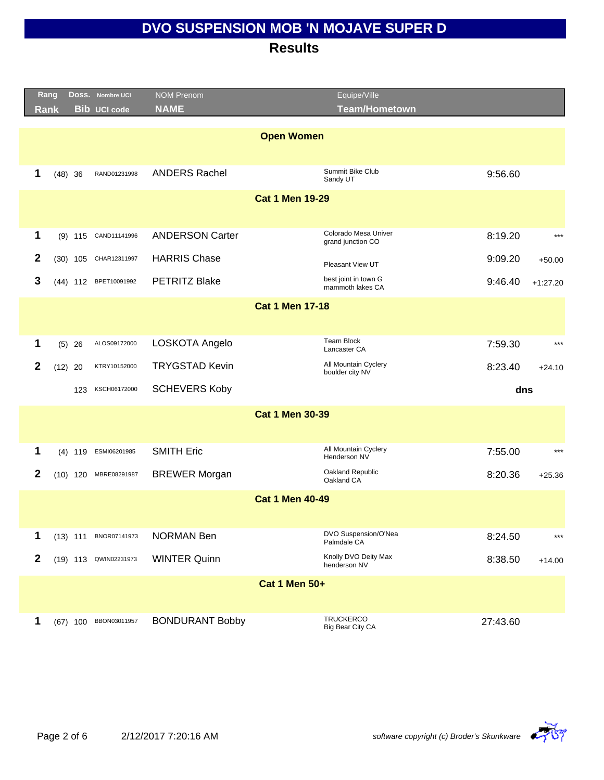|              | Rang        |            | Doss. Nombre UCI      | <b>NOM Prenom</b>      | Equipe/Ville                              |          |            |
|--------------|-------------|------------|-----------------------|------------------------|-------------------------------------------|----------|------------|
|              | <b>Rank</b> |            | <b>Bib UCI code</b>   | <b>NAME</b>            | <b>Team/Hometown</b>                      |          |            |
|              |             |            |                       | <b>Open Women</b>      |                                           |          |            |
| 1            | $(48)$ 36   |            | RAND01231998          | <b>ANDERS Rachel</b>   | Summit Bike Club<br>Sandy UT              | 9:56.60  |            |
|              |             |            |                       | <b>Cat 1 Men 19-29</b> |                                           |          |            |
| 1            |             |            | (9) 115 CAND11141996  | <b>ANDERSON Carter</b> | Colorado Mesa Univer<br>grand junction CO | 8:19.20  | $***$      |
| $\mathbf{2}$ |             |            | (30) 105 CHAR12311997 | <b>HARRIS Chase</b>    | Pleasant View UT                          | 9:09.20  | $+50.00$   |
| 3            |             |            | (44) 112 BPET10091992 | <b>PETRITZ Blake</b>   | best joint in town G<br>mammoth lakes CA  | 9:46.40  | $+1:27.20$ |
|              |             |            |                       | <b>Cat 1 Men 17-18</b> |                                           |          |            |
|              |             |            |                       |                        |                                           |          |            |
| 1            |             | $(5)$ 26   | ALOS09172000          | LOSKOTA Angelo         | <b>Team Block</b><br>Lancaster CA         | 7:59.30  | $***$      |
| 2            | $(12)$ 20   |            | KTRY10152000          | <b>TRYGSTAD Kevin</b>  | All Mountain Cyclery<br>boulder city NV   | 8:23.40  | $+24.10$   |
|              |             | 123        | KSCH06172000          | <b>SCHEVERS Koby</b>   |                                           | dns      |            |
|              |             |            |                       | <b>Cat 1 Men 30-39</b> |                                           |          |            |
| 1            |             | $(4)$ 119  | ESMI06201985          | <b>SMITH Eric</b>      | All Mountain Cyclery<br>Henderson NV      | 7:55.00  | $***$      |
| $\mathbf{2}$ |             | $(10)$ 120 | MBRE08291987          | <b>BREWER Morgan</b>   | Oakland Republic<br>Oakland CA            | 8:20.36  | $+25.36$   |
|              |             |            |                       | <b>Cat 1 Men 40-49</b> |                                           |          |            |
|              |             |            |                       |                        |                                           |          |            |
| 1            |             | $(13)$ 111 | BNOR07141973          | <b>NORMAN Ben</b>      | DVO Suspension/O'Nea<br>Palmdale CA       | 8:24.50  | $***$      |
| $\mathbf{2}$ |             |            | (19) 113 QWIN02231973 | <b>WINTER Quinn</b>    | Knolly DVO Deity Max<br>henderson NV      | 8:38.50  | $+14.00$   |
|              |             |            |                       | <b>Cat 1 Men 50+</b>   |                                           |          |            |
| 1            |             |            | (67) 100 BBON03011957 | <b>BONDURANT Bobby</b> | <b>TRUCKERCO</b><br>Big Bear City CA      | 27:43.60 |            |

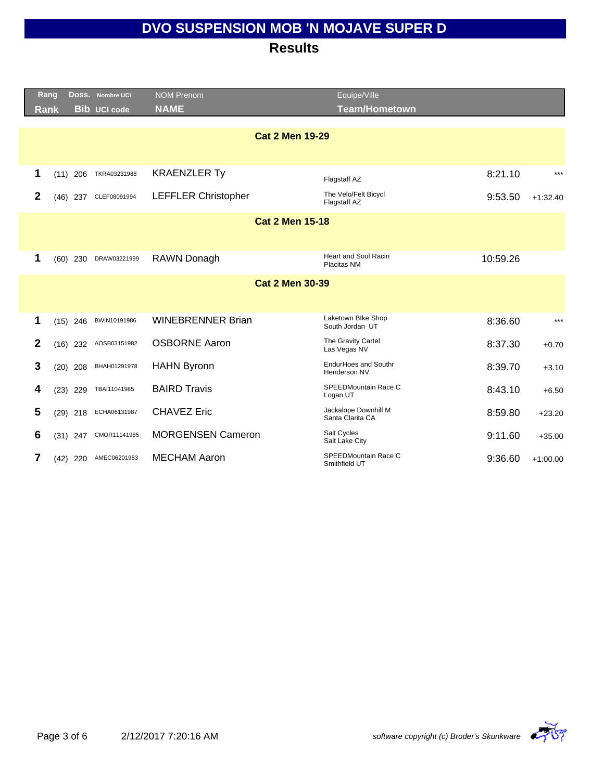|              | Rang |            | DOSS. Nombre UCI    | <b>NOM Prenom</b>          | Equipe/Ville                             |          |            |
|--------------|------|------------|---------------------|----------------------------|------------------------------------------|----------|------------|
|              | Rank |            | <b>Bib UCI code</b> | <b>NAME</b>                | <b>Team/Hometown</b>                     |          |            |
|              |      |            |                     |                            |                                          |          |            |
|              |      |            |                     | <b>Cat 2 Men 19-29</b>     |                                          |          |            |
|              |      |            |                     |                            |                                          |          |            |
| 1            | (11) | 206        | TKRA03231988        | <b>KRAENZLER Ty</b>        | Flagstaff AZ                             | 8:21.10  | $***$      |
| $\mathbf{2}$ | (46) | 237        | CLEF08091994        | <b>LEFFLER Christopher</b> | The Velo/Felt Bicycl<br>Flagstaff AZ     | 9:53.50  | $+1:32.40$ |
|              |      |            |                     | <b>Cat 2 Men 15-18</b>     |                                          |          |            |
|              |      |            |                     |                            |                                          |          |            |
| 1            | (60) | 230        | DRAW03221999        | RAWN Donagh                | <b>Heart and Soul Racin</b>              | 10:59.26 |            |
|              |      |            |                     |                            | Placitas NM                              |          |            |
|              |      |            |                     | <b>Cat 2 Men 30-39</b>     |                                          |          |            |
|              |      |            |                     |                            |                                          |          |            |
| 1            |      | $(15)$ 246 | BWIN10191986        | <b>WINEBRENNER Brian</b>   | Laketown Blke Shop<br>South Jordan UT    | 8:36.60  | $***$      |
| $\mathbf{2}$ |      | $(16)$ 232 | AOSB03151982        | <b>OSBORNE Aaron</b>       | The Gravity Cartel<br>Las Vegas NV       | 8:37.30  | $+0.70$    |
| 3            | (20) | 208        | BHAH01291978        | <b>HAHN Byronn</b>         | EndurHoes and Southr<br>Henderson NV     | 8:39.70  | $+3.10$    |
| 4            | (23) | 229        | TBAI11041985        | <b>BAIRD Travis</b>        | SPEEDMountain Race C<br>Logan UT         | 8:43.10  | $+6.50$    |
| 5            | (29) | 218        | ECHA06131987        | <b>CHAVEZ Eric</b>         | Jackalope Downhill M<br>Santa Clarita CA | 8:59.80  | $+23.20$   |
| 6            | (31) | 247        | CMOR11141985        | <b>MORGENSEN Cameron</b>   | Salt Cycles<br>Salt Lake City            | 9:11.60  | $+35.00$   |
| 7            | (42) | 220        | AMEC06201983        | <b>MECHAM Aaron</b>        | SPEEDMountain Race C<br>Smithfield UT    | 9:36.60  | $+1:00.00$ |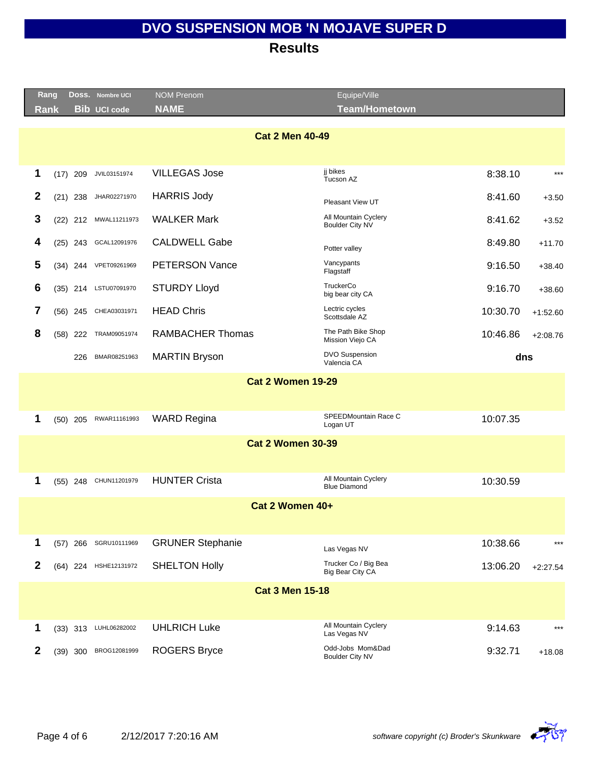|                          | Rang        |            | DOSS. Nombre UCI    | <b>NOM Prenom</b>        | Equipe/Ville                                   |          |            |
|--------------------------|-------------|------------|---------------------|--------------------------|------------------------------------------------|----------|------------|
|                          | <b>Rank</b> |            | <b>Bib UCI code</b> | <b>NAME</b>              | <b>Team/Hometown</b>                           |          |            |
|                          |             |            |                     |                          |                                                |          |            |
|                          |             |            |                     | <b>Cat 2 Men 40-49</b>   |                                                |          |            |
|                          |             |            |                     |                          |                                                |          |            |
|                          | 1           | $(17)$ 209 | JVIL03151974        | <b>VILLEGAS Jose</b>     | ji bikes<br>Tucson AZ                          | 8:38.10  | $***$      |
|                          | 2           | $(21)$ 238 | JHAR02271970        | <b>HARRIS Jody</b>       | Pleasant View UT                               | 8:41.60  | $+3.50$    |
|                          | 3           | $(22)$ 212 | MWAL11211973        | <b>WALKER Mark</b>       | All Mountain Cyclery<br><b>Boulder City NV</b> | 8:41.62  | $+3.52$    |
|                          | 4           | $(25)$ 243 | GCAL12091976        | <b>CALDWELL Gabe</b>     | Potter valley                                  | 8:49.80  | $+11.70$   |
|                          | 5           | $(34)$ 244 | VPET09261969        | <b>PETERSON Vance</b>    | Vancypants<br>Flagstaff                        | 9:16.50  | $+38.40$   |
|                          | 6           | $(35)$ 214 | LSTU07091970        | <b>STURDY Lloyd</b>      | TruckerCo<br>big bear city CA                  | 9:16.70  | $+38.60$   |
|                          | 7           | $(56)$ 245 | CHEA03031971        | <b>HEAD Chris</b>        | Lectric cycles<br>Scottsdale AZ                | 10:30.70 | $+1:52.60$ |
|                          | 8           | $(58)$ 222 | TRAM09051974        | <b>RAMBACHER Thomas</b>  | The Path Bike Shop<br>Mission Viejo CA         | 10:46.86 | $+2:08.76$ |
|                          |             | 226        | BMAR08251963        | <b>MARTIN Bryson</b>     | <b>DVO Suspension</b><br>Valencia CA           | dns      |            |
|                          |             |            |                     | <b>Cat 2 Women 19-29</b> |                                                |          |            |
|                          |             |            |                     |                          |                                                |          |            |
|                          | 1           | $(50)$ 205 | RWAR11161993        | <b>WARD Regina</b>       | SPEEDMountain Race C<br>Logan UT               | 10:07.35 |            |
| <b>Cat 2 Women 30-39</b> |             |            |                     |                          |                                                |          |            |
|                          |             |            |                     |                          |                                                |          |            |
|                          | 1           | $(55)$ 248 | CHUN11201979        | <b>HUNTER Crista</b>     | All Mountain Cyclery<br><b>Blue Diamond</b>    | 10:30.59 |            |
|                          |             |            |                     | Cat 2 Women 40+          |                                                |          |            |
|                          |             |            |                     |                          |                                                |          |            |
|                          | 1           | $(57)$ 266 | SGRU10111969        | <b>GRUNER Stephanie</b>  | Las Vegas NV                                   | 10:38.66 | $***$      |
|                          | 2           | $(64)$ 224 | HSHE12131972        | <b>SHELTON Holly</b>     | Trucker Co / Big Bea<br>Big Bear City CA       | 13:06.20 | $+2:27.54$ |
|                          |             |            |                     | <b>Cat 3 Men 15-18</b>   |                                                |          |            |
|                          |             |            |                     |                          |                                                |          |            |
|                          | 1           | $(33)$ 313 | LUHL06282002        | <b>UHLRICH Luke</b>      | All Mountain Cyclery<br>Las Vegas NV           | 9:14.63  | $***$      |
|                          | 2           | (39) 300   | BROG12081999        | <b>ROGERS Bryce</b>      | Odd-Jobs Mom&Dad<br><b>Boulder City NV</b>     | 9:32.71  | $+18.08$   |
|                          |             |            |                     |                          |                                                |          |            |

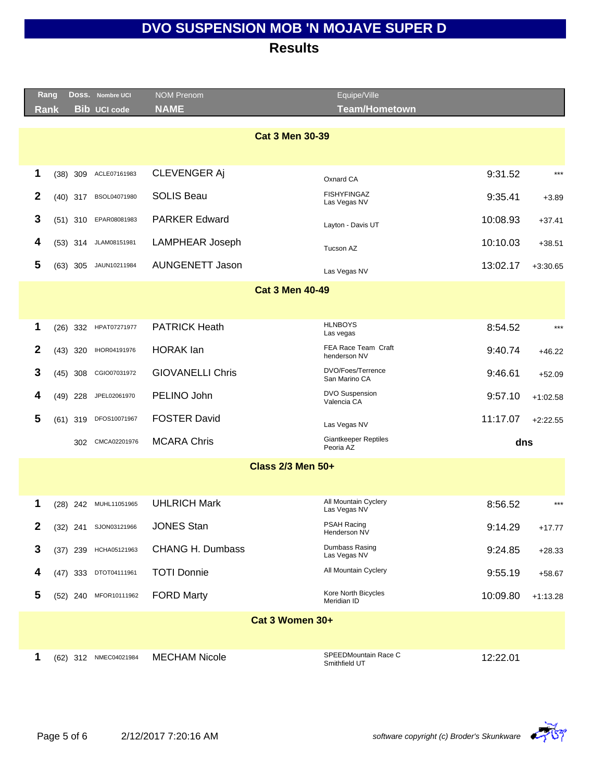|              | Rang<br>DOSS. Nombre UCI           | <b>NOM Prenom</b>       | Equipe/Ville                                      |            |
|--------------|------------------------------------|-------------------------|---------------------------------------------------|------------|
|              | <b>Bib UCI code</b><br><b>Rank</b> | <b>NAME</b>             | <b>Team/Hometown</b>                              |            |
|              |                                    |                         | <b>Cat 3 Men 30-39</b>                            |            |
|              |                                    |                         |                                                   |            |
| 1            | ACLE07161983<br>$(38)$ 309         | <b>CLEVENGER Aj</b>     | 9:31.52<br>Oxnard CA                              | $***$      |
| $\mathbf{2}$ | BSOL04071980<br>$(40)$ 317         | <b>SOLIS Beau</b>       | <b>FISHYFINGAZ</b><br>9:35.41<br>Las Vegas NV     | $+3.89$    |
| 3            | EPAR08081983<br>$(51)$ 310         | <b>PARKER Edward</b>    | 10:08.93<br>Layton - Davis UT                     | $+37.41$   |
| 4            | JLAM08151981<br>$(53)$ 314         | <b>LAMPHEAR Joseph</b>  | 10:10.03<br>Tucson AZ                             | $+38.51$   |
| 5            | JAUN10211984<br>$(63)$ 305         | <b>AUNGENETT Jason</b>  | 13:02.17<br>Las Vegas NV                          | $+3:30.65$ |
|              |                                    |                         | <b>Cat 3 Men 40-49</b>                            |            |
|              |                                    |                         |                                                   |            |
| 1            | (26) 332 HPAT07271977              | <b>PATRICK Heath</b>    | <b>HLNBOYS</b><br>8:54.52<br>Las vegas            | $***$      |
| $\mathbf{2}$ | IHOR04191976<br>$(43)$ 320         | <b>HORAK</b> lan        | FEA Race Team Craft<br>9:40.74<br>henderson NV    | $+46.22$   |
| 3            | CGIO07031972<br>$(45)$ 308         | <b>GIOVANELLI Chris</b> | DVO/Foes/Terrence<br>9:46.61<br>San Marino CA     | $+52.09$   |
| 4            | JPEL02061970<br>$(49)$ 228         | PELINO John             | <b>DVO Suspension</b><br>9:57.10<br>Valencia CA   | $+1:02.58$ |
| 5            | DFOS10071967<br>$(61)$ 319         | <b>FOSTER David</b>     | 11:17.07<br>Las Vegas NV                          | $+2:22.55$ |
|              | CMCA02201976<br>302                | <b>MCARA Chris</b>      | <b>Giantkeeper Reptiles</b><br>Peoria AZ          | dns        |
|              |                                    |                         | <b>Class 2/3 Men 50+</b>                          |            |
|              |                                    |                         |                                                   |            |
| 1            | MUHL11051965<br>$(28)$ 242         | <b>UHLRICH Mark</b>     | All Mountain Cyclery<br>8:56.52<br>Las Vegas NV   | $***$      |
| 2            | (32) 241 SJON03121966              | <b>JONES Stan</b>       | <b>PSAH Racing</b><br>9:14.29<br>Henderson NV     | $+17.77$   |
| 3            | HCHA05121963<br>$(37)$ 239         | <b>CHANG H. Dumbass</b> | Dumbass Rasing<br>9:24.85<br>Las Vegas NV         | $+28.33$   |
| 4            | DTOT04111961<br>(47) 333           | <b>TOTI Donnie</b>      | All Mountain Cyclery<br>9:55.19                   | $+58.67$   |
| 5            | MFOR10111962<br>$(52)$ 240         | <b>FORD Marty</b>       | Kore North Bicycles<br>10:09.80<br>Meridian ID    | $+1:13.28$ |
|              |                                    |                         | Cat 3 Women 30+                                   |            |
|              |                                    |                         |                                                   |            |
| 1            | (62) 312 NMEC04021984              | <b>MECHAM Nicole</b>    | SPEEDMountain Race C<br>12:22.01<br>Smithfield UT |            |